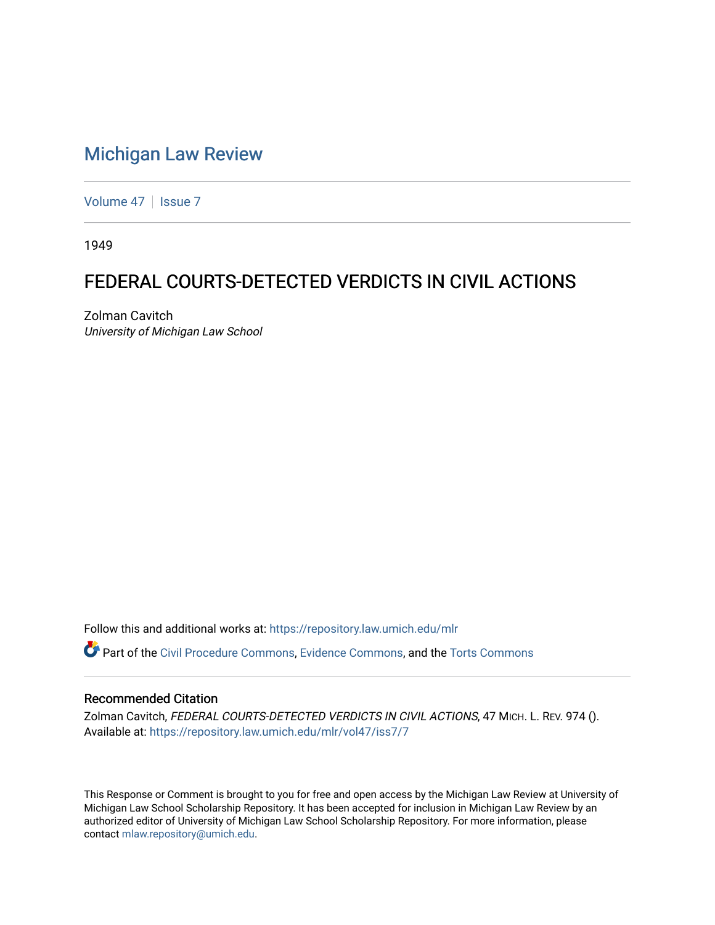# [Michigan Law Review](https://repository.law.umich.edu/mlr)

[Volume 47](https://repository.law.umich.edu/mlr/vol47) | [Issue 7](https://repository.law.umich.edu/mlr/vol47/iss7)

1949

# FEDERAL COURTS-DETECTED VERDICTS IN CIVIL ACTIONS

Zolman Cavitch University of Michigan Law School

Follow this and additional works at: [https://repository.law.umich.edu/mlr](https://repository.law.umich.edu/mlr?utm_source=repository.law.umich.edu%2Fmlr%2Fvol47%2Fiss7%2F7&utm_medium=PDF&utm_campaign=PDFCoverPages) 

Part of the [Civil Procedure Commons,](http://network.bepress.com/hgg/discipline/584?utm_source=repository.law.umich.edu%2Fmlr%2Fvol47%2Fiss7%2F7&utm_medium=PDF&utm_campaign=PDFCoverPages) [Evidence Commons](http://network.bepress.com/hgg/discipline/601?utm_source=repository.law.umich.edu%2Fmlr%2Fvol47%2Fiss7%2F7&utm_medium=PDF&utm_campaign=PDFCoverPages), and the [Torts Commons](http://network.bepress.com/hgg/discipline/913?utm_source=repository.law.umich.edu%2Fmlr%2Fvol47%2Fiss7%2F7&utm_medium=PDF&utm_campaign=PDFCoverPages)

## Recommended Citation

Zolman Cavitch, FEDERAL COURTS-DETECTED VERDICTS IN CIVIL ACTIONS, 47 MICH. L. REV. 974 (). Available at: [https://repository.law.umich.edu/mlr/vol47/iss7/7](https://repository.law.umich.edu/mlr/vol47/iss7/7?utm_source=repository.law.umich.edu%2Fmlr%2Fvol47%2Fiss7%2F7&utm_medium=PDF&utm_campaign=PDFCoverPages)

This Response or Comment is brought to you for free and open access by the Michigan Law Review at University of Michigan Law School Scholarship Repository. It has been accepted for inclusion in Michigan Law Review by an authorized editor of University of Michigan Law School Scholarship Repository. For more information, please contact [mlaw.repository@umich.edu](mailto:mlaw.repository@umich.edu).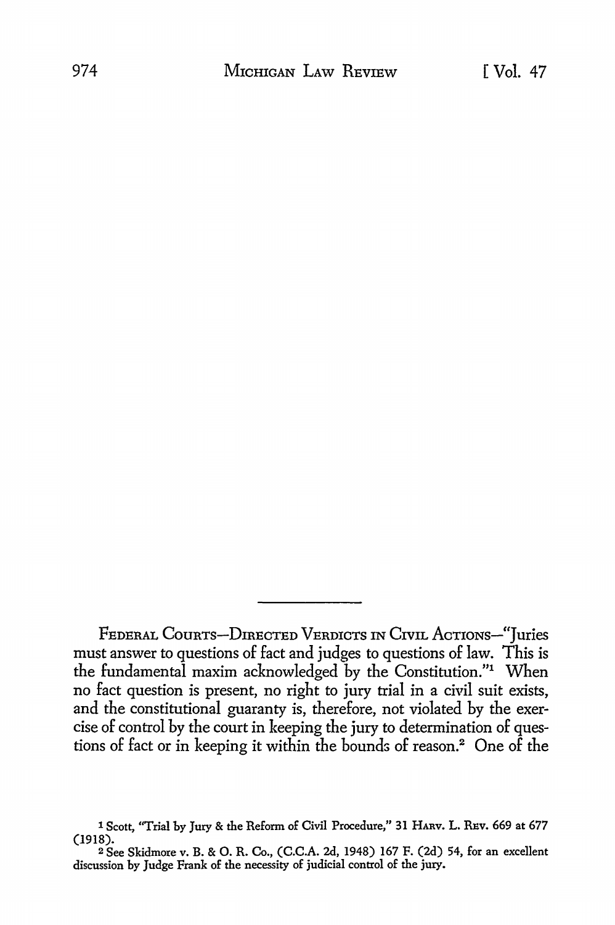FEDERAL COURTS-DIRECTED VERDICTS IN CIVIL ACTIONS-"Juries must answer to questions of fact and judges to questions of law. This is the fundamental maxim acknowledged by the Constitution."1 When no fact question is present, no right to jury trial in a civil suit exists, and the constitutional guaranty is, therefore, not violated by the exercise of control by the court in keeping the jury to determination of questions of fact or in keeping it within the bounds of reason.<sup>2</sup> One of the

<sup>1</sup> Scott, "Trial by Jury & the Reform of Civil Procedure," 31 HAnv. L. REv. 669 at 677 (1918).

<sup>2</sup>See Skidmore v. B. & 0. R. Co., (C.C.A. 2d, 1948) 167 F. (2d) 54, for an excellent discussion by Judge Frank of the necessity of judicial control of the jury.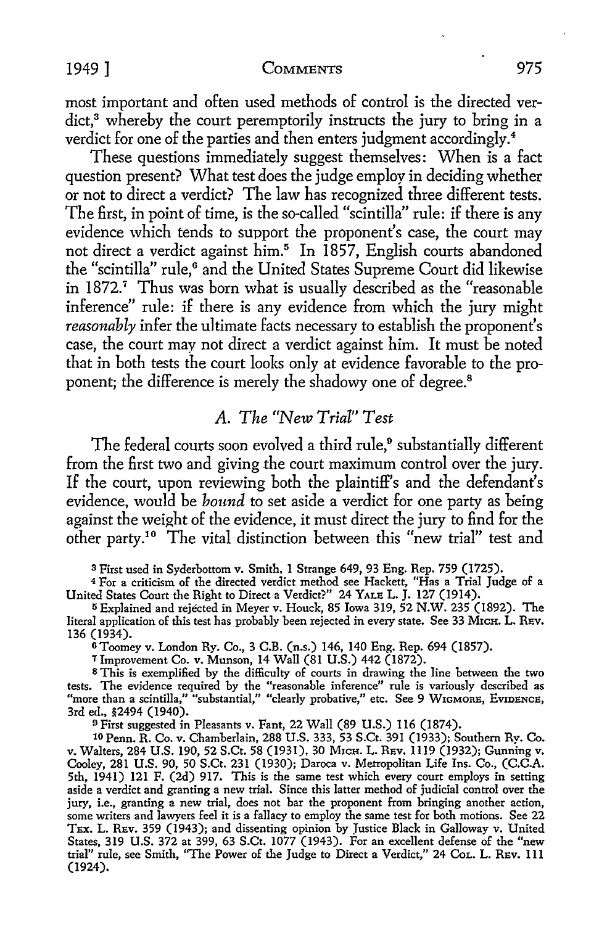#### 1949] COMMENTS 975

most important and often used methods of control is the directed verdict,<sup>3</sup> whereby the court peremptorily instructs the jury to bring in a verdict for one of the parties and then enters judgment accordingly.<sup>4</sup>

These questions immediately suggest themselves: When is a fact question present? What test does the judge employ in deciding whether or not *to* direct a verdict? The law has recognized three different tests. The first, in point of time, is the so-called "scintilla" rule: if there is any evidence which tends *to* support the proponent's case, the court may not direct a verdict against him.<sup>5</sup> In 1857, English courts abandoned the "scintilla" rule,<sup>6</sup> and the United States Supreme Court did likewise in 1872.<sup>7</sup> Thus was born what is usually described as the "reasonable inference" rule: if there is any evidence from which the jury might *reasonably* infer the ultimate facts necessary to establish the proponent's case, the court may not direct a verdict against him. It must be noted that in both tests the court looks only at evidence favorable *to* the proponent; the difference is merely the shadowy one of degree.<sup>8</sup>

## *A. The "New Trial" Test*

The federal courts soon evolved a third rule,<sup>9</sup> substantially different from the first two and giving the court maximum control over the jury. If the court, upon reviewing both the plaintiff's and the defendant's evidence, would be *bound* to set aside a verdict for one party as being against the weight of the evidence, it must direct the jury to find for the other party.10 The vital distinction between this "new trial" test and

<sup>3</sup>First used in Syderbottom v. Smith, 1 Strange 649, 93 Eng. Rep. 759 (1725).

<sup>4</sup>For a criticism of the directed verdict method see Hackett, "Has a Trial Judge of a United States Court the Right to Direct a Verdict?" 24 YALE L. J. 127 (1914).

<sup>5</sup>Explained and rejected in Meyer v. Houck, 85 Iowa 319, 52 N.W. 235 (1892). The literal application of this test has probably been rejected in every state. See 33 MrcH. L. REV. 136 (1934).

GToomey v. London Ry. Co., 3 C.B. (n.s.) 146, 140 Eng. Rep. 694 (1857).

7 Improvement Co. v. Munson, 14 Wall (81 U.S.) 442 (1872).

8 This is exemplified by the difficulty of courts in drawing the line between the two tests. The evidence required by the "reasonable inference" rule is variously described as "more than a scintilla,'' "substantial," "clearly probative," etc. See 9 W1GMORE, EvroENCE, 3rd ed., §2494 (1940).

<sup>9</sup> First suggested in Pleasants v. Fant, 22 Wall (89 U.S.) 116 (1874).

10 Penn. R. Co. v. Chamberlain, 288 U.S. 333, 53 S.Ct. 391 (1933); Southern Ry. Co. v. Walters, 284 U.S. 190, 52 S.Ct. 58 (1931), 30 Мюн. L. REv. 1119 (1932); Gunning v. Cooley, 281 U.S. 90, 50 S.Ct. 231 (1930); Daroca v. Metropolitan Life Ins. Co., (C.C.A. 5th, 1941) 121 F. (2d) 917. This is the same test which every court employs in setting aside a verdict and granting a new trial. Since this latter method of judicial control over the jury, i.e., granting a new trial, does not bar the proponent from bringing another action, some writers and lawyers feel it is a fallacy to employ the same test for both motions. See 22 TEX. L. REv. 359 (1943); and dissenting opinion by Justice Black in Galloway v. United States, 319 U.S. 372 at 399, 63 S.Ct. 1077 (1943). For an excellent defense of the "new trial" rule, see Smith, "The Power of the Judge to Direct a Verdict," 24 CoL. L. REv. 111 (1924).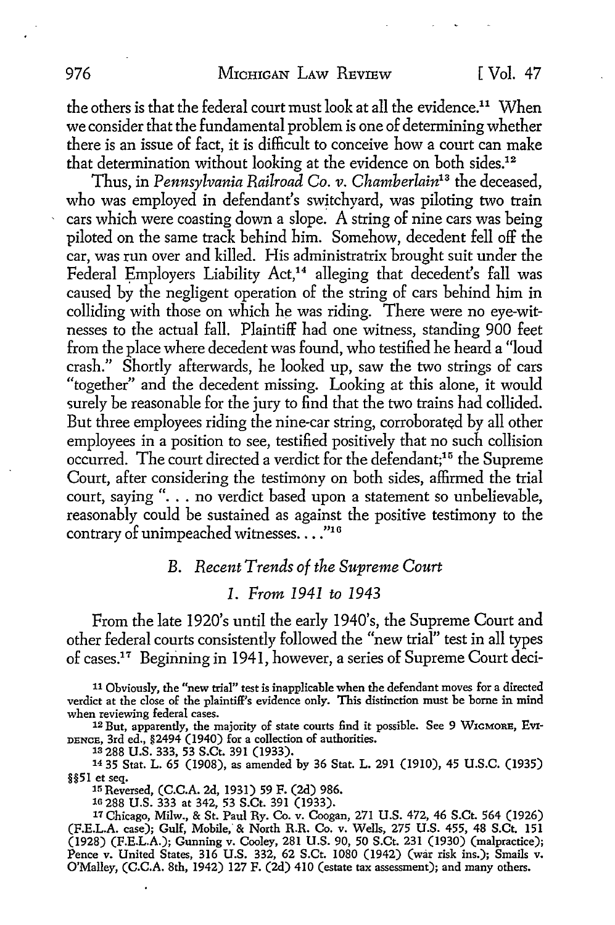the others is that the federal court must look at all the evidence.<sup>11</sup> When we consider that the fundamental problem is one of determining whether there is an issue of fact, it is difficult to conceive how a court can make that determination without looking at the evidence on both sides.<sup>12</sup>

Thus, in *Pennsylvania Railroad Co. v. Chamherlain13* the deceased, who was employed in defendant's switchyard, was piloting two train cars which were coasting down a slope. A string of nine cars was being piloted on the same track behind him. Somehow, decedent fell off the car, was run over and killed. His administratrix brought suit under the Federal Employers Liability Act,<sup>14</sup> alleging that decedent's fall was caused by the negligent operation of the string of cars behind him in colliding with those on which he was riding. There were no eye-witnesses to the actual fall. Plaintiff had one witness, standing 900 feet from the place where decedent was found, who testified he heard a "loud crash." Shortly afterwards, he looked up, saw the two strings of cars "together" and the decedent missing. Looking at this alone, it would surely be reasonable for the jury to find that the two trains had collided. But three employees riding the nine-car string, corroborated by all other employees in a position to see, testified positively that no such collision occurred. The court directed a verdict for the defendant;15 the Supreme Court, after considering the testimony on both sides, affirmed the trial court, saying ". . . no verdict based upon a statement so unbelievable, reasonably could be sustained as against the positive testimony to the contrary of unimpeached witnesses...."16

## B. *Recent Trends of the Supreme Court*

### *1. From 1941 to 1943*

From the late 1920's until the early 1940's, the Supreme Court and other federal courts consistently followed the "new trial" test in all types of cases.17 Beginning in 1941, however, a series of Supreme Court deci-

11 Obviously, the "new trial" test is inapplicable when the defendant moves for a directed verdict at the close of the plaintiff's evidence only. This distinction must be borne in mind

12 But, apparently, the majority of state courts find it possible. See 9 WIGMORE, EvI-DENCE, 3rd ed., §2494 (1940) for a collection of authorities.

1s 288 U.S. 333, 53 S.Ct. 391 (1933).

14 35 Stat. L. 65 (1908), as amended by 36 Stat. L. 291 (1910), 45 U.S.C. (1935) §§51 et seq. 15 Reversed, (C.C.A. 2d, 1931) 59 F. (2d) 986.

16 288 U.S. 333 at 342, 53 S.Ct. 391 (1933).

*11* Chicago, Milw., & St. Paul Ry. Co. v. Coogan, 271 U.S. 472, 46 S.Ct. 564 (1926) (F.E.L.A. case); Gulf, Mobile, & North R.R. Co. v. Wells, 275 U.S. 455, 48 S.Ct. 151 (1928) (F.E.L.A.); Gunning v. Cooley, 281 U.S. 90, 50 S.Ct. 231 (1930) (malpractice); Pence v. United States, 316 U.S. 332, 62 S.Ct. 1080 (1942) (war risk ins.); Smails v. O'Malley, (C.C.A. 8th, 1942) 127 F. (2d) 410 (estate tax assessment); and many others.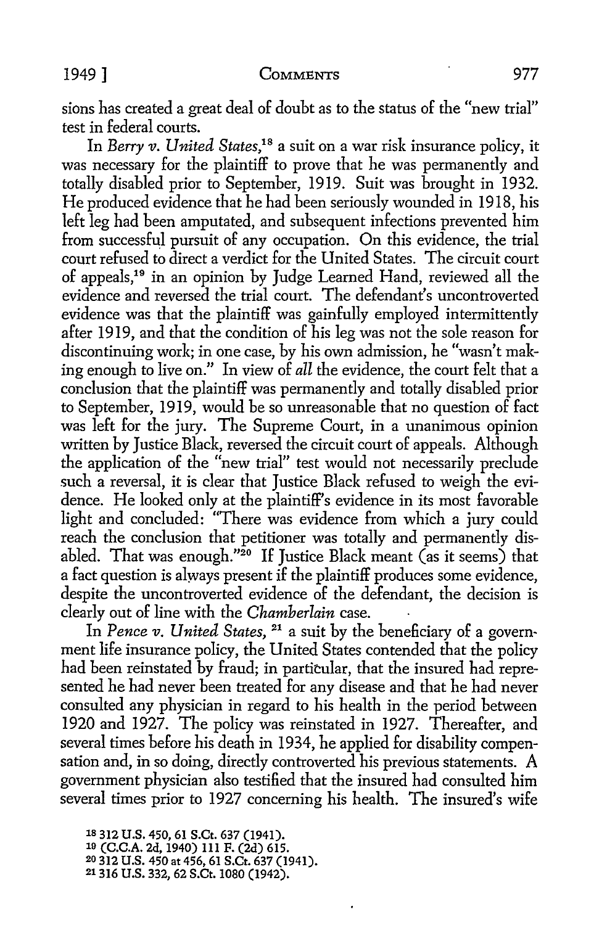sions has created a great deal of doubt as to the status of the "new trial" test in federal courts.

In *Berry v. United States*,<sup>18</sup> a suit on a war risk insurance policy, it was necessary for the plaintiff to prove that he was permanently and totally disabled prior to September, 1919. Suit was brought in 1932. He produced evidence that he had been seriously wounded in 1918, his left leg had been amputated, and subsequent infections prevented him from successful pursuit of any occupation. On this evidence, the trial court refused to direct a verdict for the United States. The circuit court of appeals,<sup>19</sup> in an opinion by Judge Learned Hand, reviewed all the evidence and reversed the trial court. The defendant's uncontroverted evidence was that the plaintiff was gainfully employed intermittently after 1919, and that the condition of his leg was not the sole reason for discontinuing work; in one case, by his own admission, he "wasn't making enough to live on." In view of *all* the evidence, the court felt that a conclusion that the plaintiff was permanently and totally disabled prior to September, 1919, would be so unreasonable that no question of fact was left for the jury. The Supreme Court, in a unanimous opinion written by Justice Black, reversed the circuit court of appeals. Although the application of the "new trial" test would not necessarily preclude such a reversal, it is clear that Justice Black refused to weigh the evidence. He looked only at the plaintiff's evidence in its most favorable light and concluded: "There was evidence from which a jury could reach the conclusion that petitioner was totally and permanently disabled. That was enough."20 If Justice Black meant (as it seems) that a fact question is always present if the plaintiff produces some evidence, despite the uncontroverted evidence of the defendant, the decision is clearly out of line with the *Chamberlain* case.

In *Pence v. United States,* 21 a suit by the beneficiary of a government life insurance policy, the United States contended that the policy had been reinstated by fraud; in particular, that the insured had represented he had never been treated for any disease and that he had never consulted any physician in regard to his health in the period between 1920 and 1927. The policy was reinstated in 1927. Thereafter, and several times before his death in 1934, he applied for disability compensation and, in so doing, directly controverted his previous statements. A government physician also testified that the insured had consulted him several times prior to 1927 concerning his health. The insured's wife

1s 312 U.S. 450, 61 S.Ct. 637 (1941). 10 (C.C.A. 2d, 1940) 111 F. (2d) 615. 20 312 U.S. 450 at 456, 61 S.Ct. 637 (1941). 21316 U.S. 332, 62 S.Ct. 1080 (1942).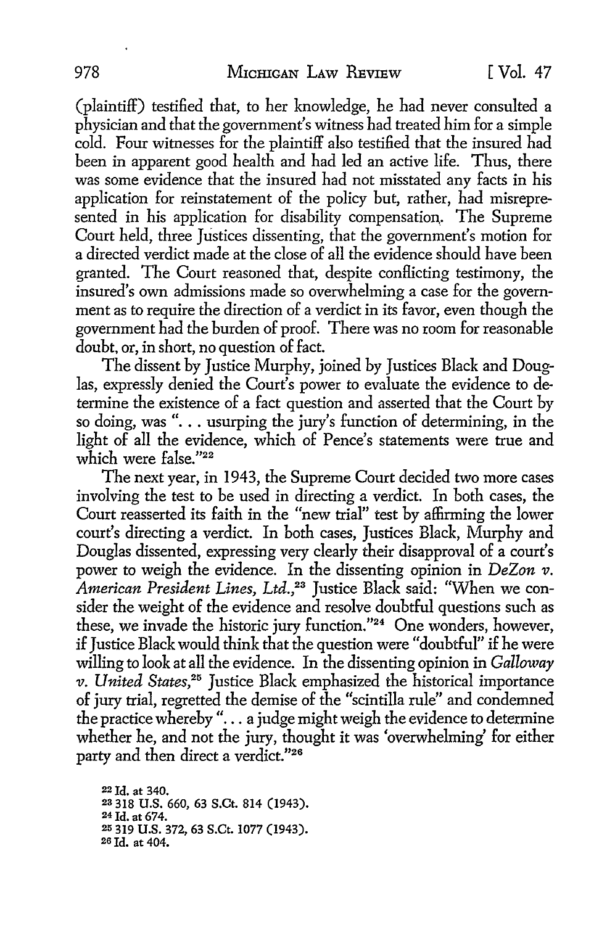(plaintiff) testified that, to her knowledge, he had never consulted a physician and that the government's witness had treated him for a simple cold. Four witnesses for the plaintiff also testified that the insured had been in apparent good health and had led an active life. Thus, there was some evidence that the insured had not misstated any facts in his application for reinstatement of the policy but, rather, had misrepresented in his application for disability compensation. The Supreme Court held, three Justices dissenting, that the government's motion for a directed verdict made at the close of all the evidence should have been granted. The Court reasoned that, despite conflicting testimony, the insured's own admissions made so overwhelming a case for the government as to require the direction of a verdict in its favor, even though the government had the burden of proof. There was no room for reasonable doubt, or, in short, no question of fact.

The dissent by Justice Murphy, joined by Justices Black and Douglas, expressly denied the Court's power to evaluate the evidence to determine the existence of a fact question and asserted that the Court by so doing, was "... usurping the jury's function of determining, in the light of all the evidence, which of Pence's statements were true and which were false."<sup>22</sup>

The next year, in 1943, the Supreme Court decided two more cases involving the test to be used in directing a verdict. In both cases, the Court reasserted its faith in the "new trial" test by affirming the lower court's directing a verdict. In both cases, Justices Black, Murphy and Douglas dissented, expressing very clearly their disapproval of a court's power to weigh the evidence. In the dissenting opinion in *DeZon v*. *American President Lines, Ltd.,23* Justice Black said: "When we consider the weight of the evidence and resolve doubtful questions such as these, we invade the historic jury function."24 One wonders, however, if Justice Black would think that the question were "doubtful" if he were willing to look at all the evidence. In the dissenting opinion in *Galloway v. United States,25* Justice Black emphasized the historical importance of jury trial, regretted the demise of the "scintilla rule" and condemned the practice whereby "... a judge might weigh the evidence to determine whether he, and not the jury, thought it was 'overwhelming' for either party and then direct a verdict."26

22 Id. at 340. <sup>23</sup>318 U.S. 660, 63 S.Ct. 814 (1943). 24 Id. at 674. 25 319 U.S. 372, 63 S.Ct. 1077 (1943). 20 Id. at 404.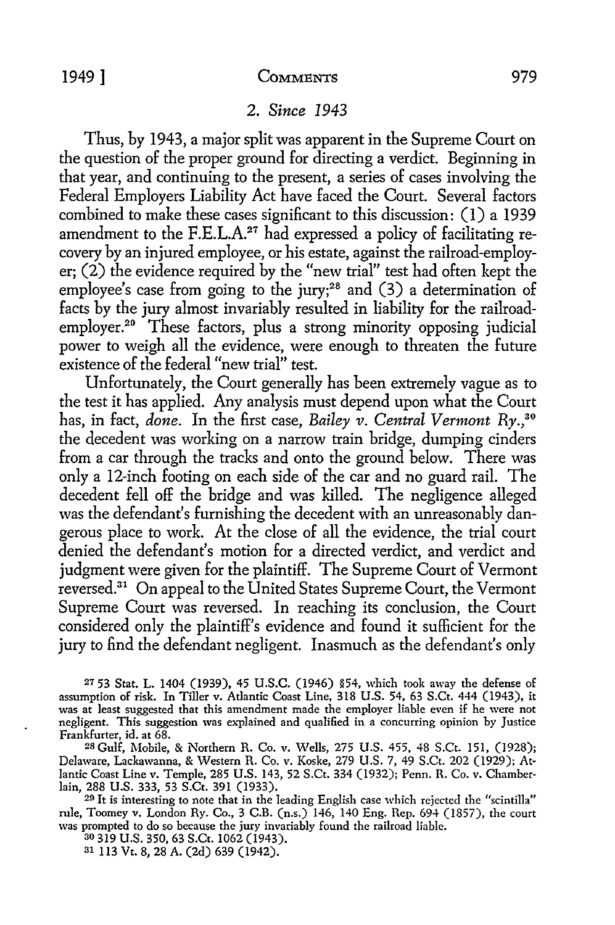### 2. *Since 1943*

Thus, by 1943, a major split was apparent in the Supreme Court on the question of the proper ground for directing a verdict. Beginning in that year, and continuing to the present, a series of cases involving the Federal Employers Liability Act have faced the Court. Several factors combined to make these cases significant to this discussion: (1) a 1939 amendment to the  $F.E.L.A.<sup>27</sup>$  had expressed a policy of facilitating recovery by an injured employee, or his estate, against the railroad-employer; (2) the evidence required by the "new trial" test had often kept the employee's case from going to the jury;<sup>28</sup> and  $(3)$  a determination of facts by the jury almost invariably resulted in liability for the railroademployer.<sup>29</sup> These factors, plus a strong minority opposing judicial power to weigh all the evidence, were enough to threaten the future existence of the federal "new trial" test.

Unfortunately, the Court generally has been extremely vague as to the test it has applied. Any analysis must depend upon what the Court has, in fact, *done.* In the first case, *Bailey v. Central Vermont* Ry.,30 the decedent was working on a narrow train bridge, dumping cinders from a car through the tracks and onto the ground below. There was only a 12-inch footing on each side of the car and no guard rail. The decedent fell off the bridge and was killed. The negligence alleged was the defendant's furnishing the decedent with an unreasonably dangerous place to work. At the close of all the evidence, the trial court denied the defendant's motion for a directed verdict, and verdict and judgment were given for the plaintiff. The Supreme Court of Vermont reversed.31 On appeal to the United States Supreme Court, the Vermont Supreme Court was reversed. In reaching its conclusion, the Court considered only the plaintiff's evidence and found it sufficient for the jury to find the defendant negligent. Inasmuch as the defendant's only

27 53 Stat. L. 1404 (1939), 45 U.S.C. (1946) §54, which took away the defense of assumption of risk. In Tiller v. Atlantic Coast Line, 318 U.S. 54, 63 S.Ct. 444 (1943), it was at least suggested that this amendment made the employer liable even if he were not negligent. This suggestion was explained and qualified in a concurring opinion by Justice Frankfurter, id. at 68.

28 Gulf, Mobile, & Northern R. Co. v. Wells, 275 U.S. 455, 48 S.Ct. 151, (1928); Delaware, Lackawanna, & Western R. Co. v. Koske, 279 U.S. 7, 49 S.Ct. 202 (1929); At· lantic Coast Line v. Temple, 285 U.S. 143, 52 S.Ct. 334 (1932); Penn. R. Co. v. Chamberlain, 288 U.S. 333, 53 S.Ct. 391 (1933).

29 It is interesting to note that in the leading English case which rejected the "scintilla" rule, Toomey v. London Ry. Co., 3 C.B. (n.s.) 146, 140 Eng. Rep. 694 (1857), the court was prompted to do so because the jury invariably found the railroad liable.

30 319 U.S. 350, 63 S.Ct. 1062 (1943).

31 113 Vt. 8, 28 A. (2d) 639 (1942).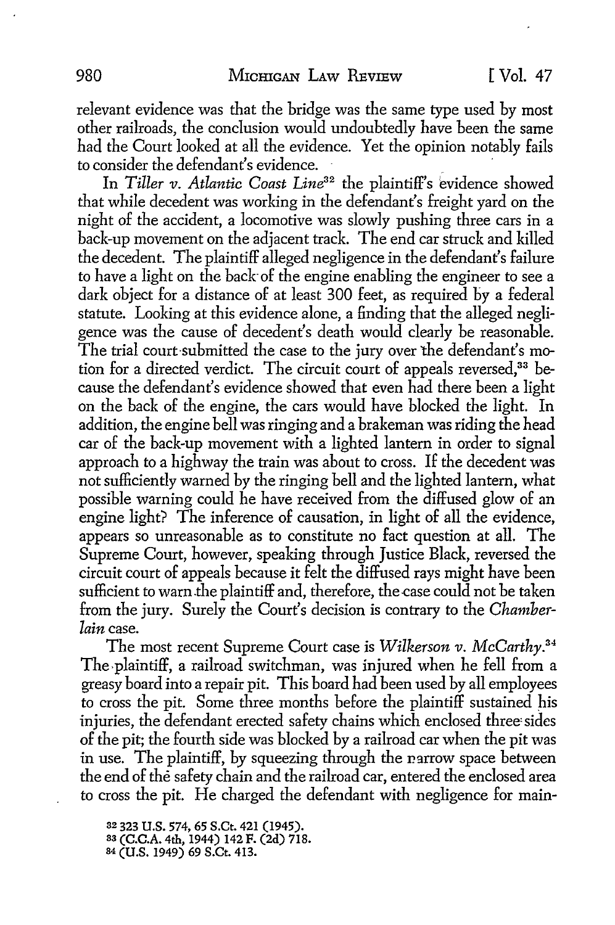relevant evidence was that the bridge was the same type used by most other railroads, the conclusion would undoubtedly have been the same had the Court looked at all the evidence. Yet the opinion notably fails to consider the defendant's evidence.

In *Tiller v. Atlantic Coast Line32* the plaintiff's evidence showed that while decedent was working in the defendant's freight yard on the night of the accident, a locomotive was slowly pushing three cars in a back-up movement on the adjacent track. The end car struck and killed the decedent. The plaintiff alleged negligence in the defendant's failure to have a light on the back of the engine enabling the engineer to see a dark object for a distance of at least 300 feet, as required by a federal statute. Looking at this evidence alone, a finding that the alleged negligence was the cause of decedent's death would clearly be reasonable. The trial court-submitted the case to the jury over the defendant's motion for a directed verdict. The circuit court of appeals reversed,<sup>33</sup> because the defendant's evidence showed that even had there been a light on the back of the engine, the cars would have blocked the light. In addition, the engine bell was ringing and a brakeman was riding the head car of the back-up movement with a lighted lantern in order to signal approach to a highway the train was about to cross. If the decedent was not sufficiently warned by the ringing bell and the lighted lantern, what possible warning could he have received from the diffused glow of an engine light? The inference of causation, in light of all the evidence, appears so unreasonable as to constitute no fact question at all. The Supreme Court, however, speaking through Justice Black, reversed the circuit court of appeals because it felt the diffused rays might have been sufficient to warn the plaintiff and, therefore, the case could not be taken from the jury. Surely the Court's decision is contrary to the *Chamberlain* case.

The most recent Supreme Court case is *Wilkerson v. McCarthy. <sup>34</sup>* The-plaintiff, a railroad switchman, was injured when he fell from a greasy board into a repair pit. This board had been used by all employees to cross the pit. Some three months before the plaintiff sustained his injuries, the defendant erected safety chains which enclosed three' sides of the pit; the fourth side was blocked by a railroad car when the pit was in use. The plaintiff, by squeezing through the parrow space between the end of the safety chain and the railroad car, entered the enclosed area to cross the pit. He charged the defendant with negligence for main-

32 323 **U.S.** 574, 65 S.Ct. 421 (1945). 83 (C.C.A. 4th, 1944) 142 F. (2d) 718. 84 (U.S. 1949) 69 S.Ct. 413.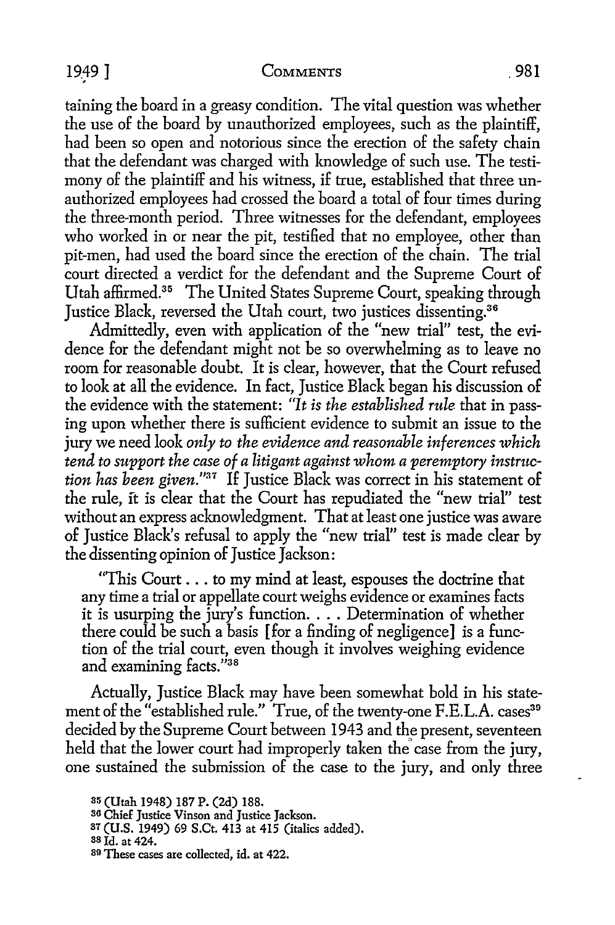### COMMENTS 981

1949]

taining the board in a greasy condition. The vital question was whether the use of the board by unauthorized employees, such as the plaintiff, had been so open and notorious since the erection of the safety chain that the defendant was charged with knowledge of such use. The testimony of the plaintiff and his witness, if true, established that three unauthorized employees had crossed the board a total of four times during the three-month period. Three witnesses for the defendant, employees who worked in or near the pit, testified that no employee, other than pit-men, had used the board since the erection of the chain. The trial court directed a verdict for the defendant and the Supreme Court of Utah affirmed.35 The United States Supreme Court, speaking through Justice Black, reversed the Utah court, two justices dissenting.<sup>36</sup>

Admittedly, even with application of the "new trial" test, the evidence for the defendant might not be so overwhelming as *to* leave no room for reasonable doubt. It is clear, however, that the Court refused *to* look at all the evidence. In fact, Justice Black began his discussion of the evidence with the statement: *"It is the established rule* that in passing upon whether there is sufficient evidence *to* submit an issue *to* the jury we need look *only to the evidence and reasonable inferences which tend to support the case of a litigant against whom a peremptory instruction has been given."<sup>37</sup>*If Justice Black was correct in his statement of the rule, ft is clear that the Court has repudiated the "new trial" test without an express acknowledgment. That at least one justice was aware of Justice Black's refusal to apply the "new trial" test is made clear by the dissenting opinion of Justice Jackson:

"This Court ... to my mind at least, espouses the doctrine that any time a trial or appellate court weighs evidence or examines facts it is usurping the jury's function .... Determination of whether there could be such a basis [for a finding of negligence] is a function of the trial court, even though it involves weighing evidence and examining facts."38

Actually, Justice Black may have been somewhat bold in his statement of the "established rule." True, of the twenty-one F.E.L.A. cases<sup>39</sup> decided by the Supreme Court between 1943 and the present, seventeen held that the lower court had improperly taken the case from the jury, one sustained the submission of the case to the jury, and only three

<sup>35 (</sup>Utah 1948) 187 P. (2d) 188.

<sup>&</sup>lt;sup>36</sup> Chief Justice Vinson and Justice Jackson.

<sup>37 (</sup>U.S. 1949) 69 S.Ct. 413 at 415 (italics added).

<sup>38</sup> Id. at 424.

<sup>39</sup> These cases are collected, id. at 422.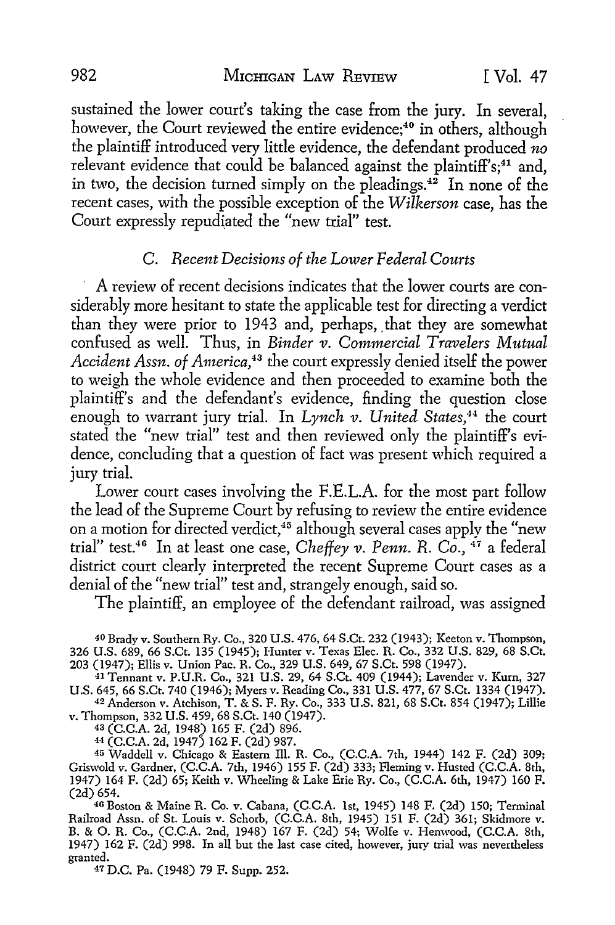sustained the lower court's taking the case from the jury. In several, however, the Court reviewed the entire evidence;<sup>40</sup> in others, although the plaintiff introduced very little evidence, the defendant produced *no*  relevant evidence that could be balanced against the plaintiff's;<sup>41</sup> and, in two, the decision turned simply on the pleadings.<sup>42</sup> In none of the recent cases, with the possible exception of the *Wilkerson* case, has the Court expressly repudiated the "new trial" test.

### C. *Recent Decisions of the Lower Federal Courts*

A review of recent decisions indicates that the lower courts are considerably more hesitant to state the applicable test for directing a verdict than they were prior to 1943 and, perhaps, that they are somewhat confused as well. Thus, in *Binder v. Commercial Travelers Mutual Accident Assn. of America*,<sup>43</sup> the court expressly denied itself the power to weigh the whole evidence and then proceeded to examine both the plaintiff's and the defendant's evidence, finding the question close enough to warrant jury trial. In *Lynch v. United States*,<sup>44</sup> the court stated the "new trial" test and then reviewed only the plaintiff's evidence, concluding that a question of fact was present which required a jury trial.

Lower court cases involving the F.E.L.A. for the most part follow the lead of the Supreme Court by refusing to review the entire evidence on a motion for directed verdict,  $45$  although several cases apply the "new trial" test.46 In at least one case, *Cheffey v. Penn. R. Co.,* 47 a federal district court clearly interpreted the recent Supreme Court cases as a denial of the "new trial" test and, strangely enough, said so.

The plaintiff, an employee of the defendant railroad, was assigned

40 Brady v. Southern Ry. Co., 320 U.S. 476, 64 S.Ct. 232 (1943); Keeton v. Thompson, 326 U.S. 689, 66 S.Ct. 135 (1945); Hunter v. Texas Elec. R. Co., 332 U.S. 829, 68 S.Ct. 203 (1947); Ellis v. Union Pac. R. Co., 329 U.S. 649, 67 S.Ct. 598 (1947).

41 Tennant v. P.U.R. Co., 321 U.S. 29, 64 S.Ct. 409 (1944); Lavender v. Kum, 327 U.S. 645, 66 S.Ct. 740 (1946); Myers v. Reading Co., 331 U.S. 477, 67 S.Ct. 1334 (1947). 42 Anderson v. Atchison, T. & S. F. Ry. Co., 333 U.S. 821, 68 S.Ct. 854 (1947); Lillie

v. Thompson, 332 U.S. 459, 68 S.Ct. 140 (1947).

43 (C.C.A. 2d, 1948) 165 F. (2d) 896. 44 (C.C.A. 2d, 1947) 162 F. (2d) 987.

45 Waddell v. Chicago & Eastern Ill. R. Co., (C.C.A. 7th, 1944) 142 F. (2d) 309; Griswold v. Gardner, (C.C.A. 7th, 1946) 155 F. (2d) 333; Fleming v. Husted (C.C.A. 8th, 1947) 164 F. (2d) 65; Keith v. Wheeling & Lake Erie Ry. Co., (C.C.A. 6th, 1947) 160 F. (2d) 654.

4G Boston & Maine R. Co. v. Cabana, (C.C.A. 1st, 1945) 148 F. (2d) 150; Terminal Railroad Assn. of St. Louis v. Scherb, (C.C.A. 8th, 1945) 151 F. (2d) 361; Skidmore v. B. & 0. R. Co., (C.C.A. 2nd, 1948) 167 F. (2d) 54; Wolfe v. Henwood, (C.C.A. 8th, 1947) 162 F. (2d) 998. In all but the last case cited, however, jury trial was nevertheless granted.

47 D.C. Pa. (1948) 79 F. Supp. 252.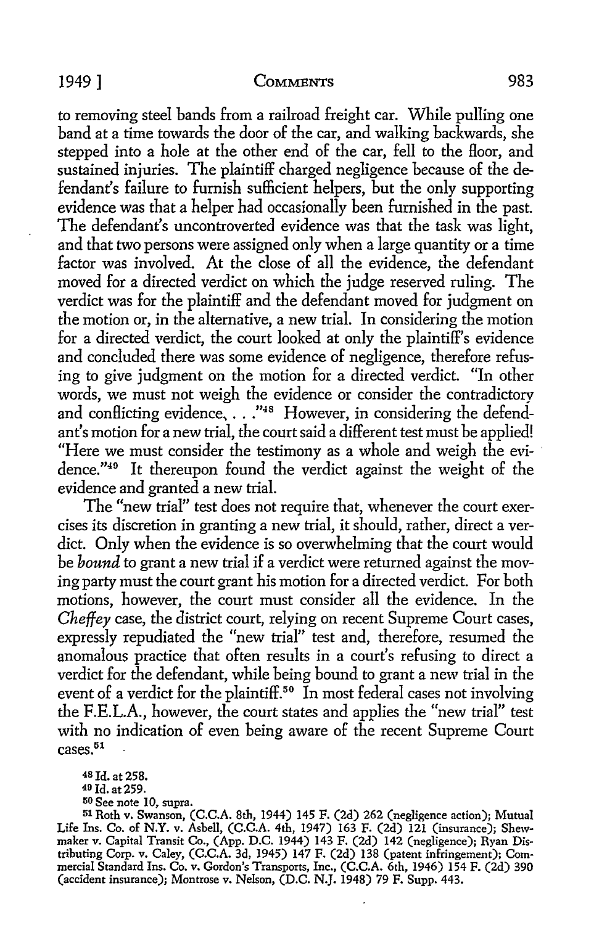#### 1949] COMMENTS 983

*to* removing steel bands from a railroad freight car. While pulling one band at a time towards the door of the car, and walking backwards, she stepped into a hole at the other end of the car, fell *to* the floor, and sustained injuries. The plaintiff charged negligence because of the defendant's failure to furnish sufficient helpers, but the only supporting evidence was that a helper had occasionally been furnished in the past. The defendant's uncontroverted evidence was that the task was light, and that two persons were assigned only when a large quantity or a time factor was involved. At the close of all the evidence, the defendant moved for a directed verdict on which the judge reserved ruling. The verdict was for the plaintiff and the defendant moved for judgment on the motion or, in the alternative, a new trial. In considering the motion for a directed verdict, the court looked at only the plaintiff's evidence and concluded there was some evidence of negligence, therefore refusing to give judgment on the motion for a directed verdict. "In other words, we must not weigh the evidence or consider the contradictory and conflicting evidence, ..."<sup>48</sup> However, in considering the defendant's motion for a new trial, the court said a different test must be applied! "Here we must consider the testimony as a whole and weigh the evi- · dence."40 It thereupon found the verdict against the weight of the evidence and granted a new trial.

The "new trial" test does not require that, whenever the court exercises its discretion in granting a new trial, it should, rather, direct a verdict. Only when the evidence is so overwhelming that the court would be *bound* to grant a new trial if a verdict were returned against the moving party must the court grant his motion for a directed verdict. For both motions, however, the court must consider all the evidence. In the *Cheffey* case, the district court, relying on recent Supreme Court cases, expressly repudiated the "new trial" test and, therefore, resumed the anomalous practice that often results in a court's refusing *to* direct a verdict for the defendant, while being bound to grant a new trial in the event of a verdict for the plaintiff.<sup>50</sup> In most federal cases not involving the F.E.L.A., however, the court states and applies the "new trial" test with no indication of even being aware of the recent Supreme Court cases.<sup>51</sup>

150 See note IO, supra.

<sup>51</sup> Roth v. Swanson, (C.C.A. 8th, 1944) 145 F. (2d) 262 (negligence action); Mutual Life Ins. Co. of **N.Y. v.** Asbell, (C.C.A. 4th, 1947) 163 F. (2d) 121 (insurance); Shewmaker v. Capital Transit Co., (App. D.C. 1944) 143 F. (2d) 142 (negligence); Ryan Distributing Corp. v. Caley, (C.C.A. 3d, 1945) 147 F. (2d) 138 (patent infringement); Commercial Standard Ins. Co. v. Gordon's Transports, Inc., (C.C.A. 6th, 1946) 154 F. (2d) 390 (accident insurance); Montrose v. Nelson, (D.C. N.J. 1948) 79 F. Supp. 443.

<sup>48</sup>Id. at 258.

<sup>40</sup> Id. at 259.